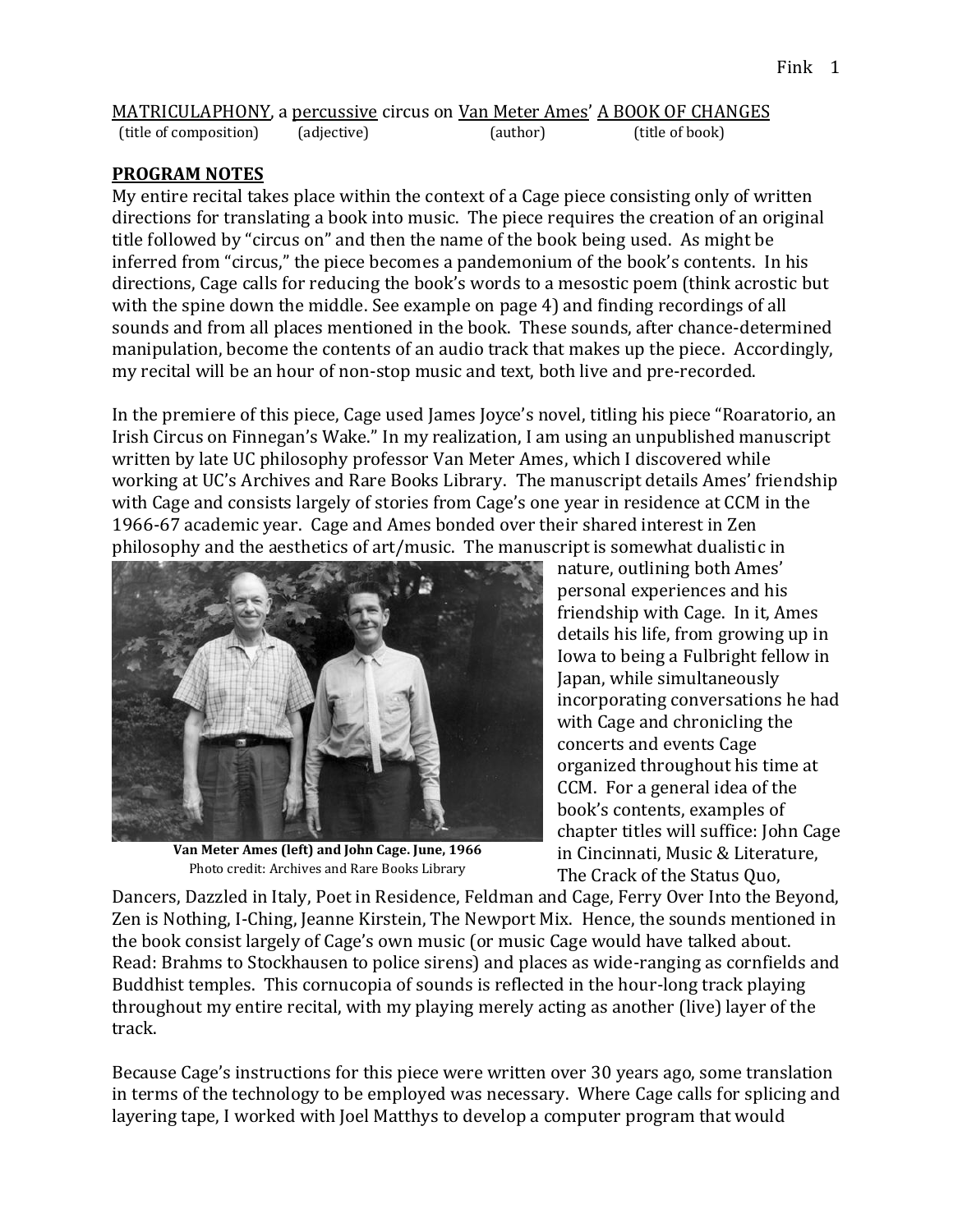|                        | <b>MATRICULAPHONY</b> , a percussive circus on <u>Van Meter Ames' A BOOK OF CHANGES</u> |          |                 |
|------------------------|-----------------------------------------------------------------------------------------|----------|-----------------|
| (title of composition) | (adjective)                                                                             | (author) | (title of book) |

#### **PROGRAM NOTES**

My entire recital takes place within the context of a Cage piece consisting only of written directions for translating a book into music. The piece requires the creation of an original title followed by "circus on" and then the name of the book being used. As might be inferred from "circus," the piece becomes a pandemonium of the book's contents. In his directions, Cage calls for reducing the book's words to a mesostic poem (think acrostic but with the spine down the middle. See example on page 4) and finding recordings of all sounds and from all places mentioned in the book. These sounds, after chance-determined manipulation, become the contents of an audio track that makes up the piece. Accordingly, my recital will be an hour of non-stop music and text, both live and pre-recorded.

In the premiere of this piece, Cage used James Joyce's novel, titling his piece "Roaratorio, an Irish Circus on Finnegan's Wake." In my realization, I am using an unpublished manuscript written by late UC philosophy professor Van Meter Ames, which I discovered while working at UC's Archives and Rare Books Library. The manuscript details Ames' friendship with Cage and consists largely of stories from Cage's one year in residence at CCM in the 1966-67 academic year. Cage and Ames bonded over their shared interest in Zen philosophy and the aesthetics of art/music. The manuscript is somewhat dualistic in



**Van Meter Ames (left) and John Cage. June, 1966**  Photo credit: Archives and Rare Books Library

nature, outlining both Ames' personal experiences and his friendship with Cage. In it, Ames details his life, from growing up in Iowa to being a Fulbright fellow in Japan, while simultaneously incorporating conversations he had with Cage and chronicling the concerts and events Cage organized throughout his time at CCM. For a general idea of the book's contents, examples of chapter titles will suffice: John Cage in Cincinnati, Music & Literature, The Crack of the Status Quo,

Dancers, Dazzled in Italy, Poet in Residence, Feldman and Cage, Ferry Over Into the Beyond, p Zen is Nothing, I-Ching, Jeanne Kirstein, The Newport Mix. Hence, the sounds mentioned in the book consist largely of Cage's own music (or music Cage would have talked about. Read: Brahms to Stockhausen to police sirens) and places as wide-ranging as cornfields and Buddhist temples. This cornucopia of sounds is reflected in the hour-long track playing throughout my entire recital, with my playing merely acting as another (live) layer of the track.

Because Cage's instructions for this piece were written over 30 years ago, some translation in terms of the technology to be employed was necessary. Where Cage calls for splicing and layering tape, I worked with Joel Matthys to develop a computer program that would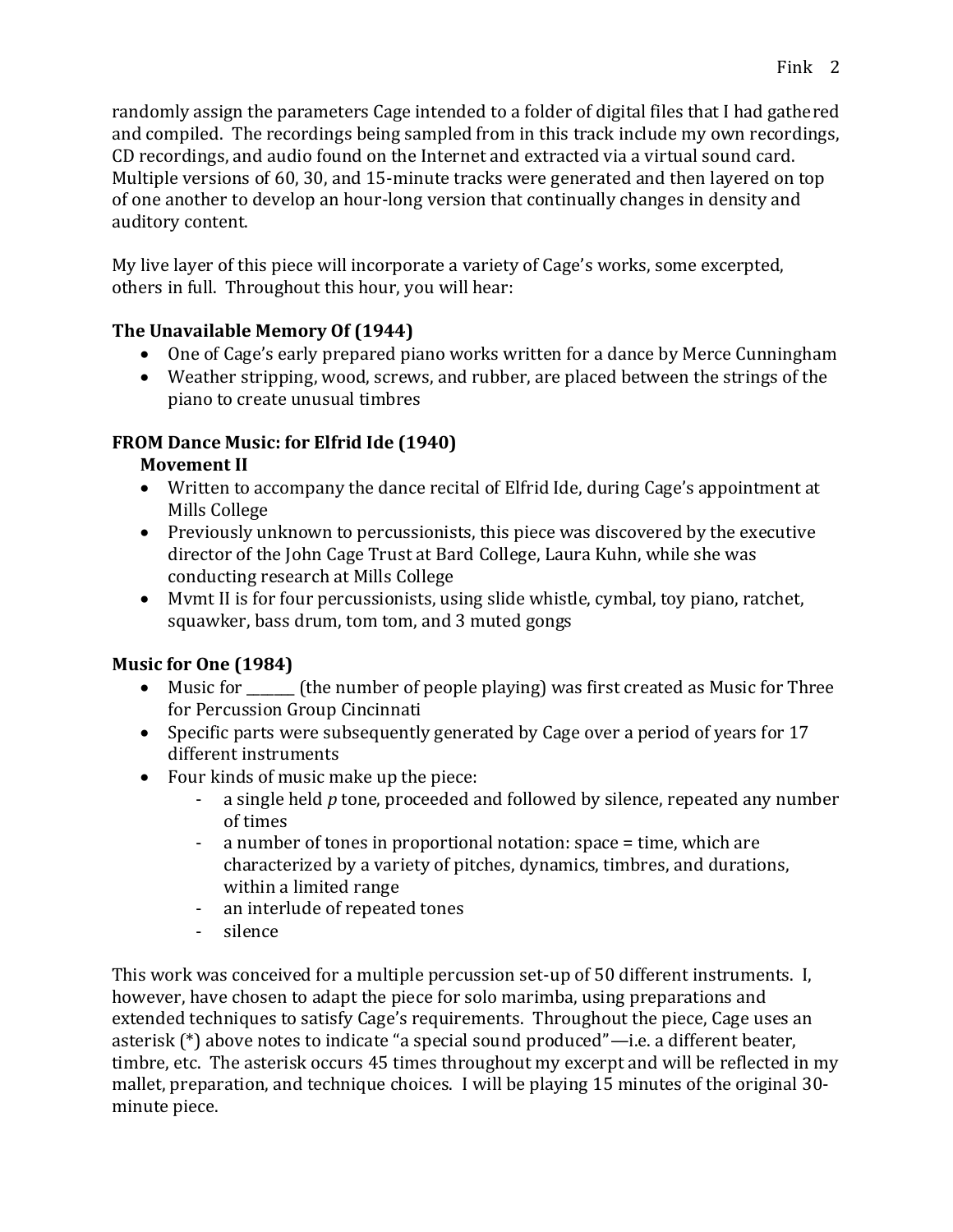randomly assign the parameters Cage intended to a folder of digital files that I had gathered and compiled. The recordings being sampled from in this track include my own recordings, CD recordings, and audio found on the Internet and extracted via a virtual sound card. Multiple versions of 60, 30, and 15-minute tracks were generated and then layered on top of one another to develop an hour-long version that continually changes in density and auditory content.

My live layer of this piece will incorporate a variety of Cage's works, some excerpted, others in full. Throughout this hour, you will hear:

### **The Unavailable Memory Of (1944)**

- One of Cage's early prepared piano works written for a dance by Merce Cunningham
- Weather stripping, wood, screws, and rubber, are placed between the strings of the piano to create unusual timbres

# **FROM Dance Music: for Elfrid Ide (1940)**

## **Movement II**

- Written to accompany the dance recital of Elfrid Ide, during Cage's appointment at Mills College
- Previously unknown to percussionists, this piece was discovered by the executive director of the John Cage Trust at Bard College, Laura Kuhn, while she was conducting research at Mills College
- Mvmt II is for four percussionists, using slide whistle, cymbal, toy piano, ratchet, squawker, bass drum, tom tom, and 3 muted gongs

# **Music for One (1984)**

- Music for \_\_\_\_\_\_\_ (the number of people playing) was first created as Music for Three for Percussion Group Cincinnati
- Specific parts were subsequently generated by Cage over a period of years for 17 different instruments
- Four kinds of music make up the piece:
	- a single held *p* tone, proceeded and followed by silence, repeated any number of times
	- a number of tones in proportional notation: space = time, which are characterized by a variety of pitches, dynamics, timbres, and durations, within a limited range
	- an interlude of repeated tones
	- silence

This work was conceived for a multiple percussion set-up of 50 different instruments. I, however, have chosen to adapt the piece for solo marimba, using preparations and extended techniques to satisfy Cage's requirements. Throughout the piece, Cage uses an asterisk (\*) above notes to indicate "a special sound produced"—i.e. a different beater, timbre, etc. The asterisk occurs 45 times throughout my excerpt and will be reflected in my mallet, preparation, and technique choices. I will be playing 15 minutes of the original 30 minute piece.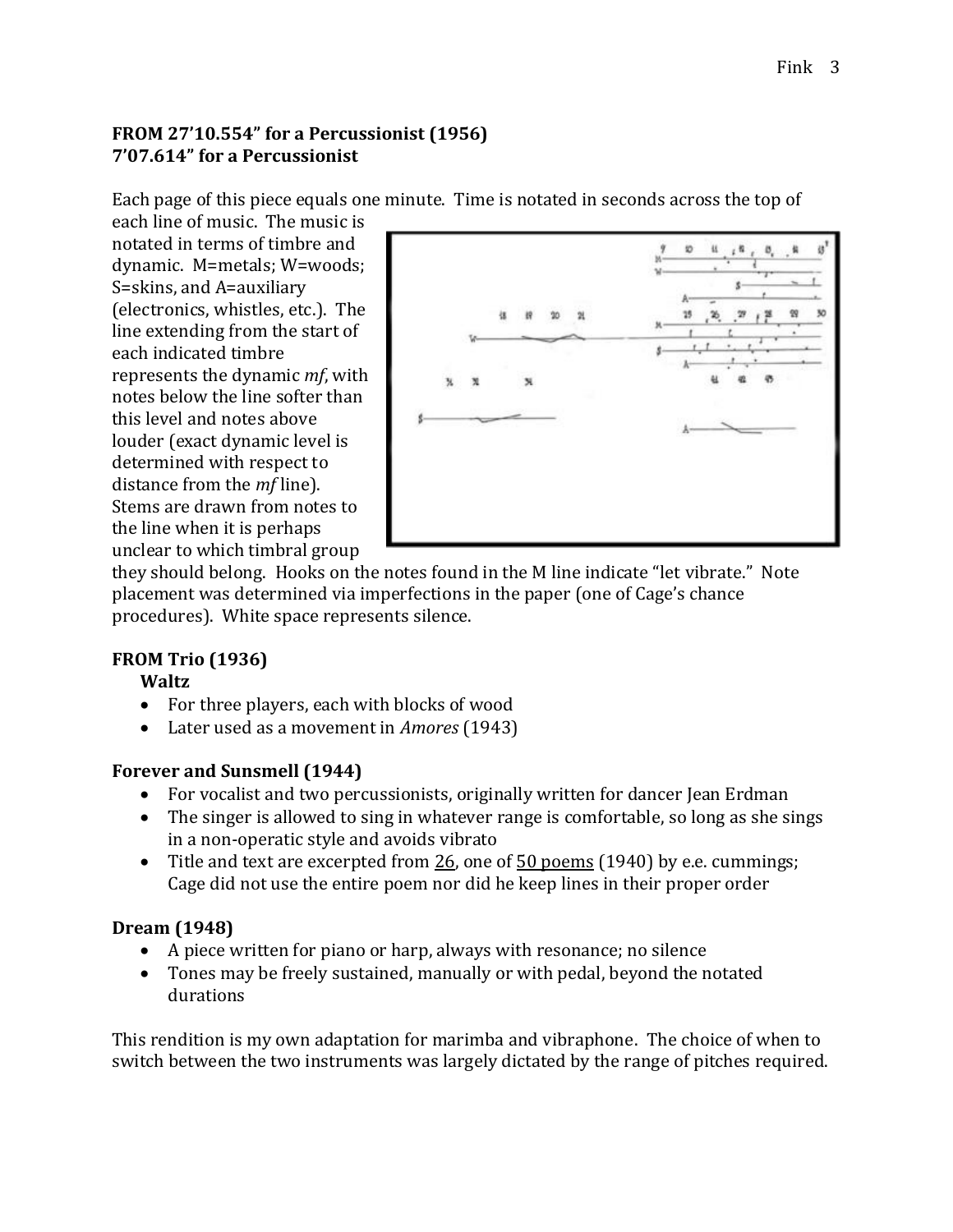### **FROM 27'10.554" for a Percussionist (1956) 7'07.614" for a Percussionist**

Each page of this piece equals one minute. Time is notated in seconds across the top of

each line of music. The music is notated in terms of timbre and dynamic. M=metals; W=woods; S=skins, and A=auxiliary (electronics, whistles, etc.). The line extending from the start of each indicated timbre represents the dynamic *mf*, with notes below the line softer than this level and notes above louder (exact dynamic level is determined with respect to distance from the *mf* line). Stems are drawn from notes to the line when it is perhaps unclear to which timbral group



they should belong. Hooks on the notes found in the M line indicate "let vibrate." Note placement was determined via imperfections in the paper (one of Cage's chance procedures). White space represents silence.

### **FROM Trio (1936)**

### **Waltz**

- For three players, each with blocks of wood
- Later used as a movement in *Amores* (1943)

### **Forever and Sunsmell (1944)**

- For vocalist and two percussionists, originally written for dancer Jean Erdman
- The singer is allowed to sing in whatever range is comfortable, so long as she sings in a non-operatic style and avoids vibrato
- Title and text are excerpted from  $26$ , one of  $50$  poems (1940) by e.e. cummings; Cage did not use the entire poem nor did he keep lines in their proper order

### **Dream (1948)**

- A piece written for piano or harp, always with resonance; no silence
- Tones may be freely sustained, manually or with pedal, beyond the notated durations

This rendition is my own adaptation for marimba and vibraphone. The choice of when to switch between the two instruments was largely dictated by the range of pitches required.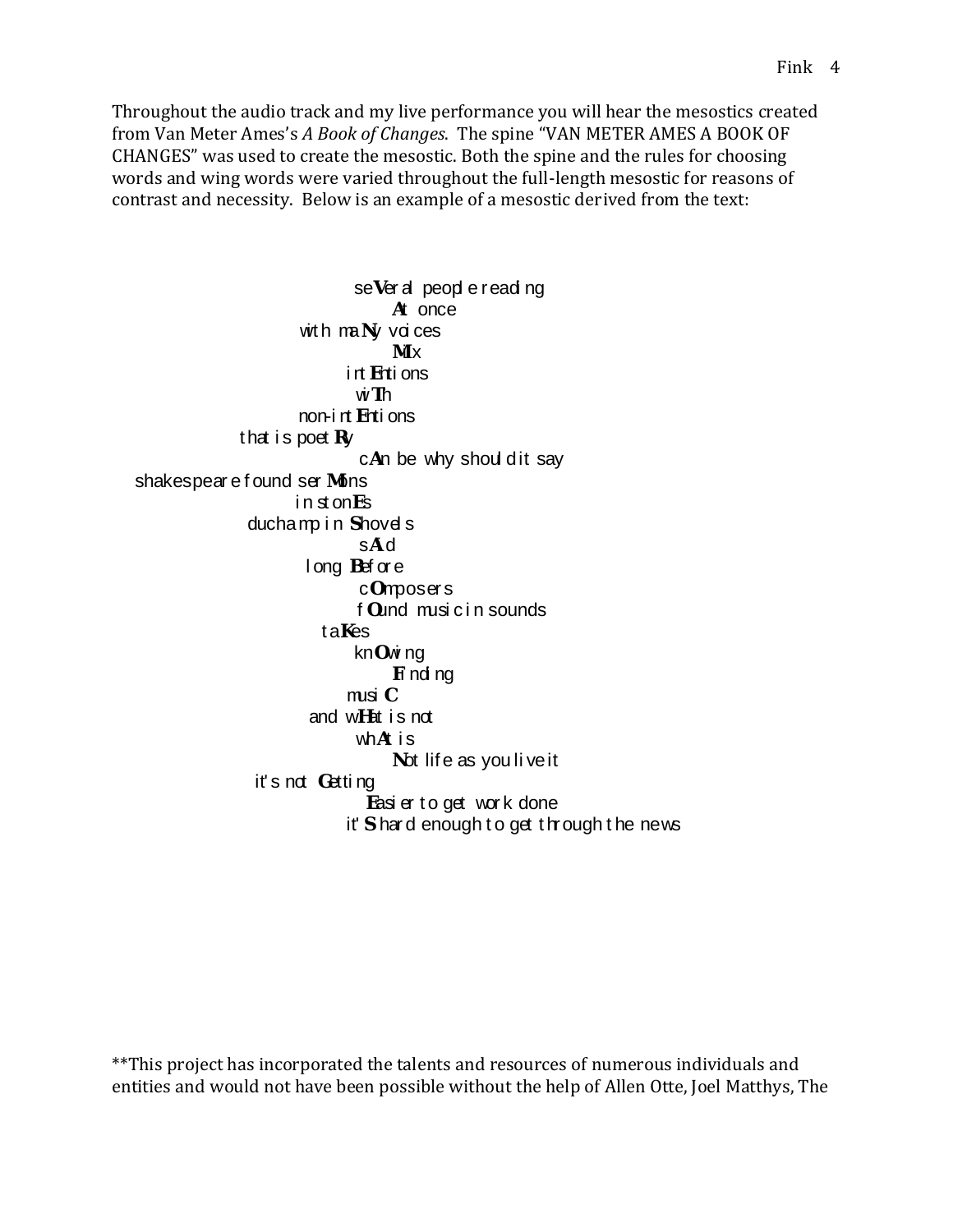Throughout the audio track and my live performance you will hear the mesostics created from Van Meter Ames's *A Book of Changes*. The spine "VAN METER AMES A BOOK OF CHANGES" was used to create the mesostic. Both the spine and the rules for choosing words and wing words were varied throughout the full-length mesostic for reasons of contrast and necessity. Below is an example of a mesostic derived from the text:

se Ver al people reading At once with  $m$ Ny voi ces  $M \times$  i nt Enti ons wi Th non-i nt Enti ons that is poet  $Rv$  $c$ An be why shoul dit say shakespear e found ser Mons i n st onEs duchamp in Shovels sAi d l ong Bef or e cOmposer s f Ound musi c i n sounds taKes knOwi ng Fi ndi ng musi C and wHat i s not wh $A$  is Not life as you li ve it it's not Getting Easier to get work done it' Shard enough to get through the news

\*\*This project has incorporated the talents and resources of numerous individuals and entities and would not have been possible without the help of Allen Otte, Joel Matthys, The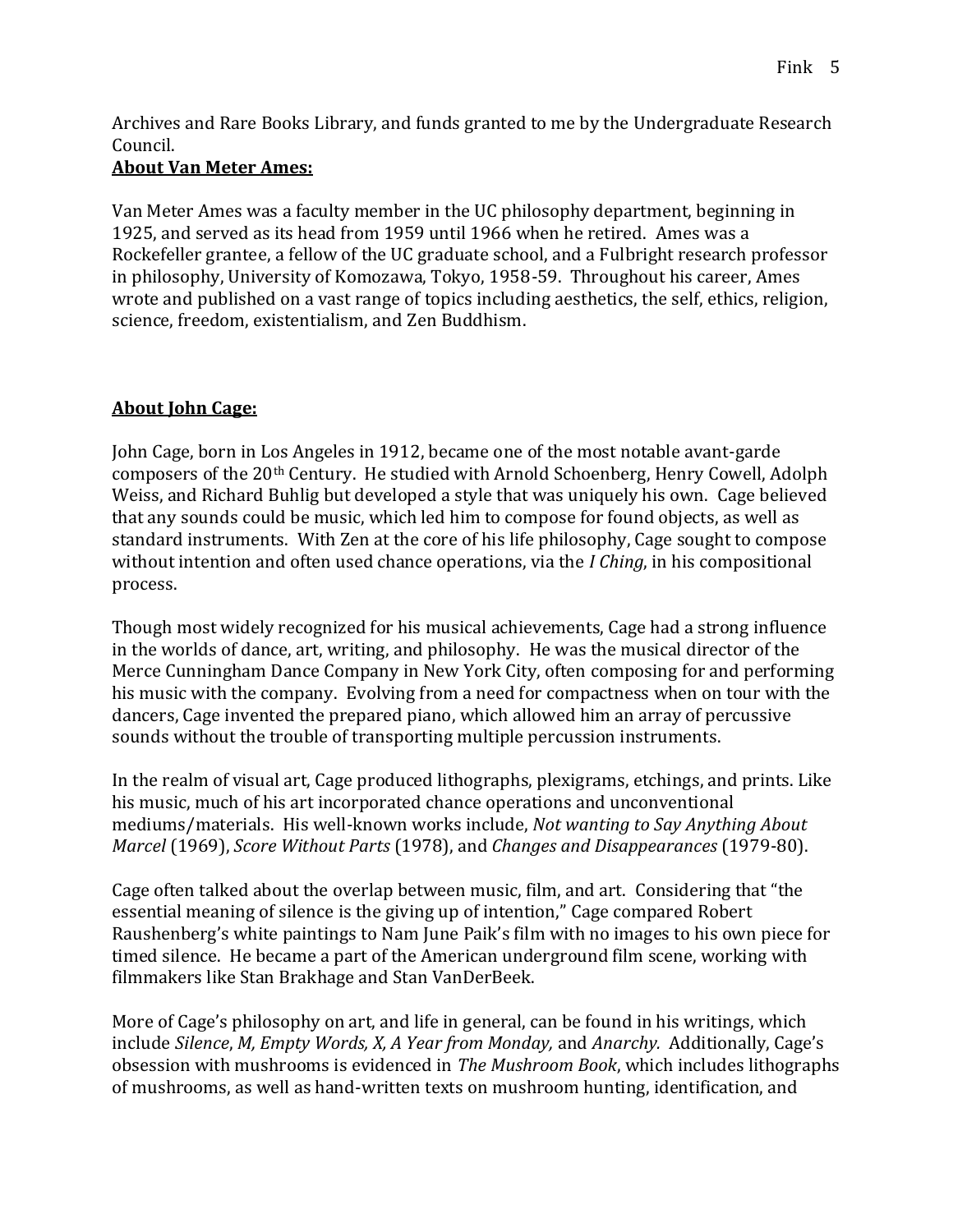Archives and Rare Books Library, and funds granted to me by the Undergraduate Research Council.

### **About Van Meter Ames:**

Van Meter Ames was a faculty member in the UC philosophy department, beginning in 1925, and served as its head from 1959 until 1966 when he retired. Ames was a Rockefeller grantee, a fellow of the UC graduate school, and a Fulbright research professor in philosophy, University of Komozawa, Tokyo, 1958-59. Throughout his career, Ames wrote and published on a vast range of topics including aesthetics, the self, ethics, religion, science, freedom, existentialism, and Zen Buddhism.

#### **About John Cage:**

John Cage, born in Los Angeles in 1912, became one of the most notable avant-garde composers of the 20th Century. He studied with Arnold Schoenberg, Henry Cowell, Adolph Weiss, and Richard Buhlig but developed a style that was uniquely his own. Cage believed that any sounds could be music, which led him to compose for found objects, as well as standard instruments. With Zen at the core of his life philosophy, Cage sought to compose without intention and often used chance operations, via the *I Ching*, in his compositional process.

Though most widely recognized for his musical achievements, Cage had a strong influence in the worlds of dance, art, writing, and philosophy. He was the musical director of the Merce Cunningham Dance Company in New York City, often composing for and performing his music with the company. Evolving from a need for compactness when on tour with the dancers, Cage invented the prepared piano, which allowed him an array of percussive sounds without the trouble of transporting multiple percussion instruments.

In the realm of visual art, Cage produced lithographs, plexigrams, etchings, and prints. Like his music, much of his art incorporated chance operations and unconventional mediums/materials. His well-known works include, *Not wanting to Say Anything About Marcel* (1969), *Score Without Parts* (1978), and *Changes and Disappearances* (1979-80).

Cage often talked about the overlap between music, film, and art. Considering that "the essential meaning of silence is the giving up of intention," Cage compared Robert Raushenberg's white paintings to Nam June Paik's film with no images to his own piece for timed silence. He became a part of the American underground film scene, working with filmmakers like Stan Brakhage and Stan VanDerBeek.

More of Cage's philosophy on art, and life in general, can be found in his writings, which include *Silence*, *M, Empty Words, X, A Year from Monday,* and *Anarchy.* Additionally, Cage's obsession with mushrooms is evidenced in *The Mushroom Book*, which includes lithographs of mushrooms, as well as hand-written texts on mushroom hunting, identification, and